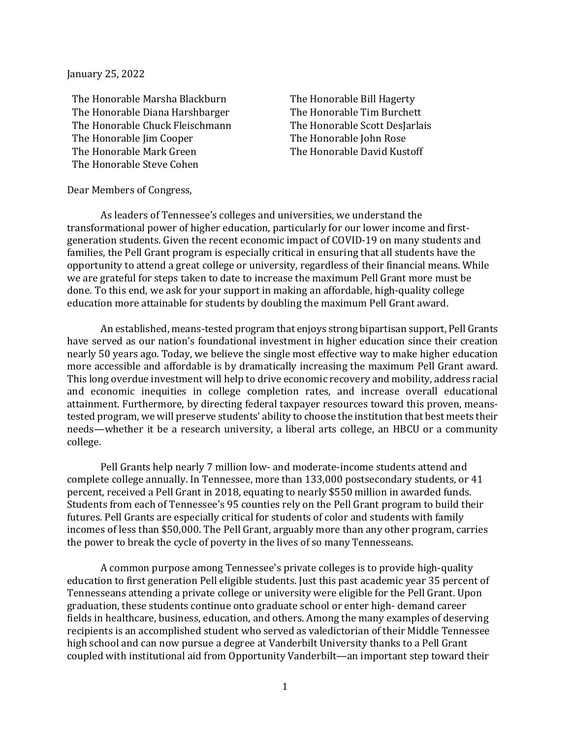January 25, 2022

The Honorable Marsha Blackburn The Honorable Bill Hagerty<br>The Honorable Diana Harshbarger The Honorable Tim Burchett The Honorable Diana Harshbarger The Honorable Tim Burchett<br>The Honorable Chuck Fleischmann The Honorable Scott Deslarlais The Honorable Chuck Fleischmann The Honorable Scott DesJa<br>The Honorable Iim Cooper The Honorable John Rose The Honorable Jim Cooper<br>The Honorable Mark Green The Honorable Steve Cohen

The Honorable David Kustoff

## Dear Members of Congress,

As leaders of Tennessee's colleges and universities, we understand the transformational power of higher education, particularly for our lower income and firstgeneration students. Given the recent economic impact of COVID-19 on many students and families, the Pell Grant program is especially critical in ensuring that all students have the opportunity to attend a great college or university, regardless of their financial means. While we are grateful for steps taken to date to increase the maximum Pell Grant more must be done. To this end, we ask for your support in making an affordable, high-quality college education more attainable for students by doubling the maximum Pell Grant award.

An established, means-tested program that enjoys strong bipartisan support, Pell Grants have served as our nation's foundational investment in higher education since their creation nearly 50 years ago. Today, we believe the single most effective way to make higher education more accessible and affordable is by dramatically increasing the maximum Pell Grant award. This long overdue investment will help to drive economic recovery and mobility, address racial and economic inequities in college completion rates, and increase overall educational attainment. Furthermore, by directing federal taxpayer resources toward this proven, meanstested program, we will preserve students' ability to choose the institution that best meets their needs—whether it be a research university, a liberal arts college, an HBCU or a community college.

Pell Grants help nearly 7 million low- and moderate-income students attend and complete college annually. In Tennessee, more than 133,000 postsecondary students, or 41 percent, received a Pell Grant in 2018, equating to nearly \$550 million in awarded funds. Students from each of Tennessee's 95 counties rely on the Pell Grant program to build their futures. Pell Grants are especially critical for students of color and students with family incomes of less than \$50,000. The Pell Grant, arguably more than any other program, carries the power to break the cycle of poverty in the lives of so many Tennesseans.

A common purpose among Tennessee's private colleges is to provide high-quality education to first generation Pell eligible students. Just this past academic year 35 percent of Tennesseans attending a private college or university were eligible for the Pell Grant. Upon graduation, these students continue onto graduate school or enter high- demand career fields in healthcare, business, education, and others. Among the many examples of deserving recipients is an accomplished student who served as valedictorian of their Middle Tennessee high school and can now pursue a degree at Vanderbilt University thanks to a Pell Grant coupled with institutional aid from Opportunity Vanderbilt—an important step toward their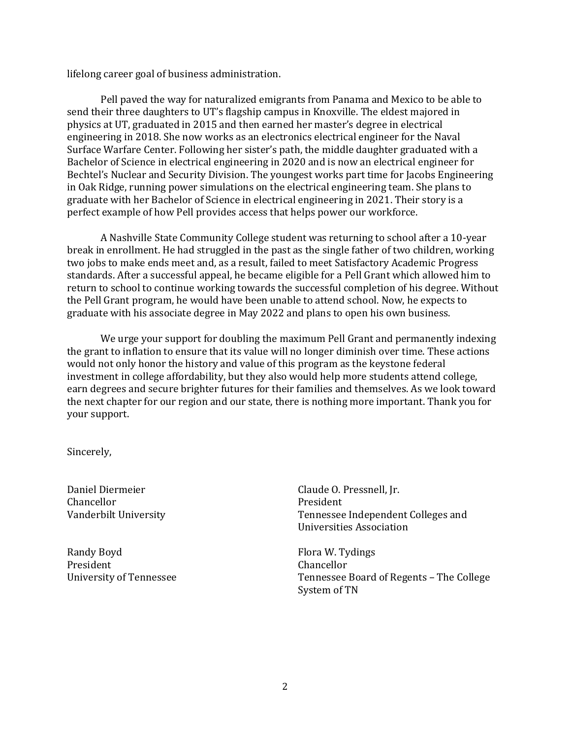lifelong career goal of business administration.

Pell paved the way for naturalized emigrants from Panama and Mexico to be able to send their three daughters to UT's flagship campus in Knoxville. The eldest majored in physics at UT, graduated in 2015 and then earned her master's degree in electrical engineering in 2018. She now works as an electronics electrical engineer for the Naval Surface Warfare Center. Following her sister's path, the middle daughter graduated with a Bachelor of Science in electrical engineering in 2020 and is now an electrical engineer for Bechtel's Nuclear and Security Division. The youngest works part time for Jacobs Engineering in Oak Ridge, running power simulations on the electrical engineering team. She plans to graduate with her Bachelor of Science in electrical engineering in 2021. Their story is a perfect example of how Pell provides access that helps power our workforce.

A Nashville State Community College student was returning to school after a 10-year break in enrollment. He had struggled in the past as the single father of two children, working two jobs to make ends meet and, as a result, failed to meet Satisfactory Academic Progress standards. After a successful appeal, he became eligible for a Pell Grant which allowed him to return to school to continue working towards the successful completion of his degree. Without the Pell Grant program, he would have been unable to attend school. Now, he expects to graduate with his associate degree in May 2022 and plans to open his own business.

We urge your support for doubling the maximum Pell Grant and permanently indexing the grant to inflation to ensure that its value will no longer diminish over time. These actions would not only honor the history and value of this program as the keystone federal investment in college affordability, but they also would help more students attend college, earn degrees and secure brighter futures for their families and themselves. As we look toward the next chapter for our region and our state, there is nothing more important. Thank you for your support.

Sincerely,

Daniel Diermeier Chancellor Vanderbilt University

Randy Boyd President University of Tennessee

Claude O. Pressnell, Jr. President Tennessee Independent Colleges and Universities Association

Flora W. Tydings Chancellor Tennessee Board of Regents – The College System of TN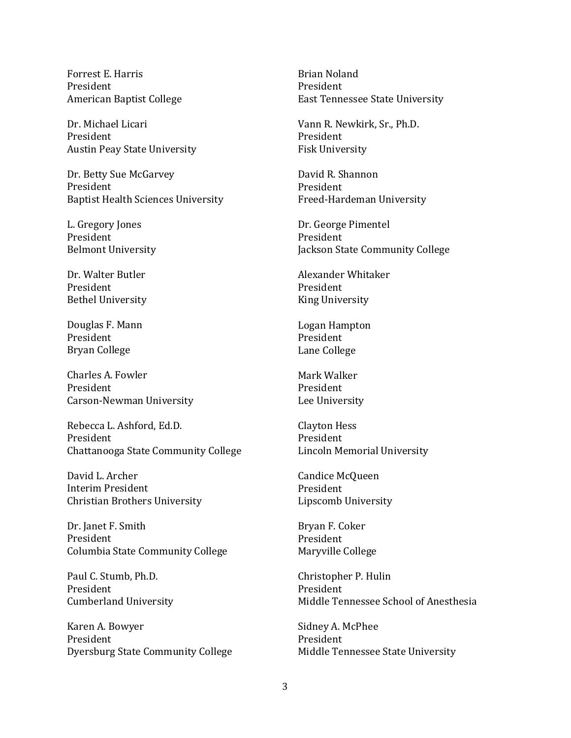Forrest E. Harris President American Baptist College

Dr. Michael Licari President Austin Peay State University

Dr. Betty Sue McGarvey President Baptist Health Sciences University

L. Gregory Jones President Belmont University

Dr. Walter Butler President Bethel University

Douglas F. Mann President Bryan College

Charles A. Fowler President Carson-Newman University

Rebecca L. Ashford, Ed.D. President Chattanooga State Community College

David L. Archer Interim President Christian Brothers University

Dr. Janet F. Smith President Columbia State Community College

Paul C. Stumb, Ph.D. President Cumberland University

Karen A. Bowyer President Dyersburg State Community College

Brian Noland President East Tennessee State University

Vann R. Newkirk, Sr., Ph.D. President Fisk University

David R. Shannon President Freed-Hardeman University

Dr. George Pimentel President Jackson State Community College

Alexander Whitaker President King University

Logan Hampton President Lane College

Mark Walker President Lee University

Clayton Hess President Lincoln Memorial University

Candice McQueen President Lipscomb University

Bryan F. Coker President Maryville College

Christopher P. Hulin President Middle Tennessee School of Anesthesia

Sidney A. McPhee President Middle Tennessee State University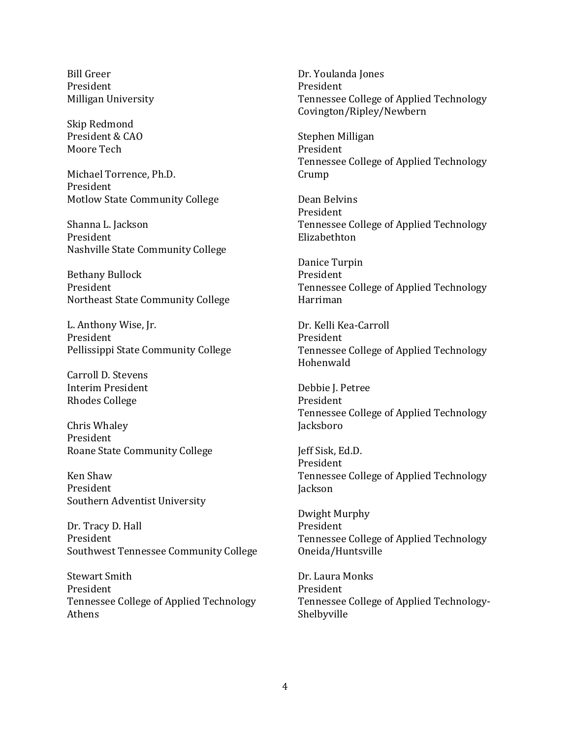Bill Greer President Milligan University

Skip Redmond President & CAO Moore Tech

Michael Torrence, Ph.D. President Motlow State Community College

Shanna L. Jackson President Nashville State Community College

Bethany Bullock President Northeast State Community College

L. Anthony Wise, Jr. President Pellissippi State Community College

Carroll D. Stevens Interim President Rhodes College

Chris Whaley President Roane State Community College

Ken Shaw President Southern Adventist University

Dr. Tracy D. Hall President Southwest Tennessee Community College

Stewart Smith President Tennessee College of Applied Technology Athens

Dr. Youlanda Jones President Tennessee College of Applied Technology Covington/Ripley/Newbern

Stephen Milligan President Tennessee College of Applied Technology Crump

Dean Belvins President Tennessee College of Applied Technology Elizabethton

Danice Turpin President Tennessee College of Applied Technology Harriman

Dr. Kelli Kea-Carroll President Tennessee College of Applied Technology Hohenwald

Debbie J. Petree President Tennessee College of Applied Technology Jacksboro

Jeff Sisk, Ed.D. President Tennessee College of Applied Technology Jackson

Dwight Murphy President Tennessee College of Applied Technology Oneida/Huntsville

Dr. Laura Monks President Tennessee College of Applied Technology-Shelbyville